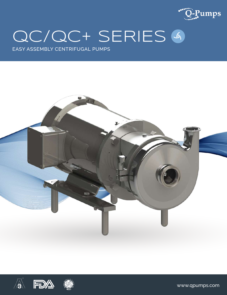

# QC/QC+ SERIES 4

EASY ASSEMBLY CENTRIFUGAL PUMPS







www.qpumps.com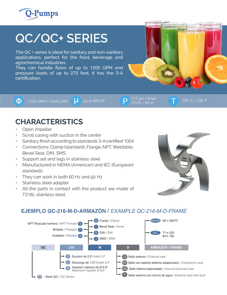

# **QC/QC+ SERIES**

The QC + series is ideal for sanitary and non-sanitary applications, perfect for the food, beverage and agrochemical industries.

They can handle flows of up to 1200 GPM and pressure loads of up to 270 feet. It has the 3-A certification.

**1**,200 GPM / 4,542 LPM  $\begin{bmatrix} 1 \\ 1 \end{bmatrix}$  up to 600 cP  $\begin{bmatrix} 117 \text{ psi} / 8 \text{ bar} \\ 270 \text{ ft} / 82 \text{ m} \end{bmatrix}$ 

270 ft / 82 m

## **CHARACTERISTICS**

- Open impeller
- Scroll casing with suction in the center
- Sanitary finish according to standards 3-A certified 1004
- Connections: Clamp (standard), Flange, NPT, Weldable, Bevel Seat, DIN, SMS
- Support set and legs in stainless steel
- Manufactured in NEMA (American) and IEC (European) standards
- They can work in both 60 Hz and 50 Hz
- Stainless steel adapter
- All the parts in contact with the product are made of T316L stainless steel



#### **EJEMPLO QC-216-M-D-ARMAZÓN /** *EXAMPLE QC-216-M-D-FRAME*

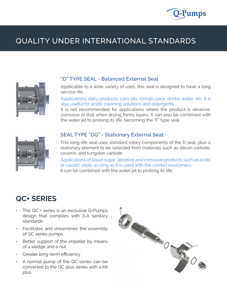

## QUALITY UNDER INTERNATIONAL STANDARDS



#### **"D" TYPE SEAL - Balanced External Seal**

Applicable to a wide variety of uses, this seal is designed to have a long service life.

Applications: dairy products, corn oils, tomato juice, drinks, water, etc. It is also useful for acidic cleaning solutions and detergents.

It is not recommended for applications where the product is abrasive, corrosive or that when drying forms layers. It can also be combined with the water jet to prolong its life, becoming the "F" type seal.



#### **SEAL TYPE "DG" - Stationary External Seat**

This long-life seal uses standard rotary components of the D seal, plus a stationary element to be selected from materials such as silicon carbide, ceramic and tungsten carbide.

Applications of liquid sugar, abrasive and corrosive products such as acids or caustic soda, as long as it is used with the correct elastomers. It can be combined with the water jet to prolong its life.

### **QC+ SERIES**

- The QC + series is an exclusive Q-Pumps design that complies with 3-A sanitary standards
- Facilitates and streamlines the assembly of QC series pumps
- Better support of the impeller by means of a wedge and a nut
- Greater long-term efficiency
- A normal pump of the QC series can be converted to the QC plus series with a Kit plus